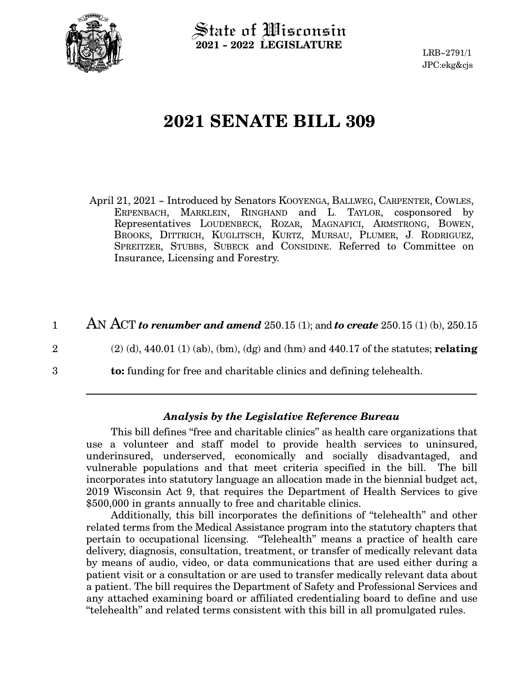

State of Wisconsin **2021 - 2022 LEGISLATURE**

LRB-2791/1 JPC:ekg&cjs

# **2021 SENATE BILL 309**

April 21, 2021 - Introduced by Senators KOOYENGA, BALLWEG, CARPENTER, COWLES, ERPENBACH, MARKLEIN, RINGHAND and L. TAYLOR, cosponsored by Representatives LOUDENBECK, ROZAR, MAGNAFICI, ARMSTRONG, BOWEN, BROOKS, DITTRICH, KUGLITSCH, KURTZ, MURSAU, PLUMER, J. RODRIGUEZ, SPREITZER, STUBBS, SUBECK and CONSIDINE. Referred to Committee on Insurance, Licensing and Forestry.

AN ACT *to renumber and amend* 250.15 (1); and *to create* 250.15 (1) (b), 250.15 1

2

3

(2) (d), 440.01 (1) (ab), (bm), (dg) and (hm) and 440.17 of the statutes; **relating**

**to:** funding for free and charitable clinics and defining telehealth.

#### *Analysis by the Legislative Reference Bureau*

This bill defines "free and charitable clinics" as health care organizations that use a volunteer and staff model to provide health services to uninsured, underinsured, underserved, economically and socially disadvantaged, and vulnerable populations and that meet criteria specified in the bill. The bill incorporates into statutory language an allocation made in the biennial budget act, 2019 Wisconsin Act 9, that requires the Department of Health Services to give \$500,000 in grants annually to free and charitable clinics.

Additionally, this bill incorporates the definitions of "telehealth" and other related terms from the Medical Assistance program into the statutory chapters that pertain to occupational licensing. "Telehealth" means a practice of health care delivery, diagnosis, consultation, treatment, or transfer of medically relevant data by means of audio, video, or data communications that are used either during a patient visit or a consultation or are used to transfer medically relevant data about a patient. The bill requires the Department of Safety and Professional Services and any attached examining board or affiliated credentialing board to define and use "telehealth" and related terms consistent with this bill in all promulgated rules.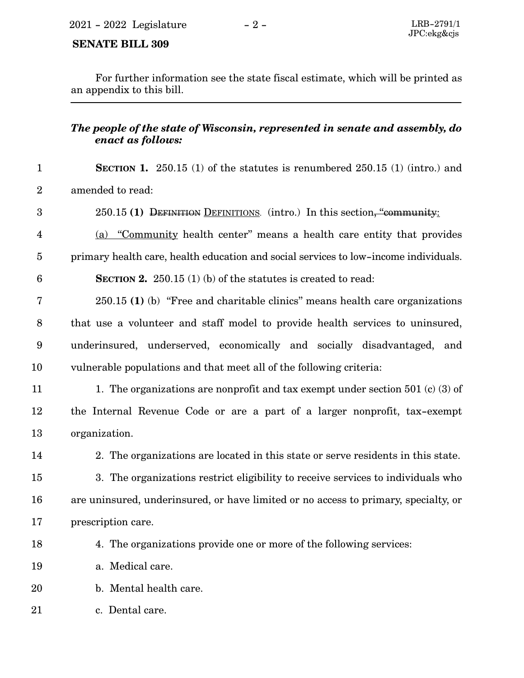### **SENATE BILL 309**

For further information see the state fiscal estimate, which will be printed as an appendix to this bill.

## *The people of the state of Wisconsin, represented in senate and assembly, do enact as follows:*

- **SECTION 1.** 250.15 (1) of the statutes is renumbered 250.15 (1) (intro.) and amended to read: 1 2
- 250.15 **(1)** DEFINITION DEFINITIONS. (intro.) In this section, "community: 3
- (a) "Community health center" means a health care entity that provides primary health care, health education and social services to low-income individuals. 4 5
- **SECTION 2.** 250.15 (1) (b) of the statutes is created to read: 6
- 250.15 **(1)** (b) "Free and charitable clinics" means health care organizations that use a volunteer and staff model to provide health services to uninsured, underinsured, underserved, economically and socially disadvantaged, and vulnerable populations and that meet all of the following criteria: 7 8 9 10
- 1. The organizations are nonprofit and tax exempt under section 501 (c) (3) of the Internal Revenue Code or are a part of a larger nonprofit, tax-exempt organization. 11 12 13
- 14

2. The organizations are located in this state or serve residents in this state.

- 3. The organizations restrict eligibility to receive services to individuals who are uninsured, underinsured, or have limited or no access to primary, specialty, or prescription care. 15 16 17
- 18

4. The organizations provide one or more of the following services:

- a. Medical care. 19
- b. Mental health care. 20
- c. Dental care. 21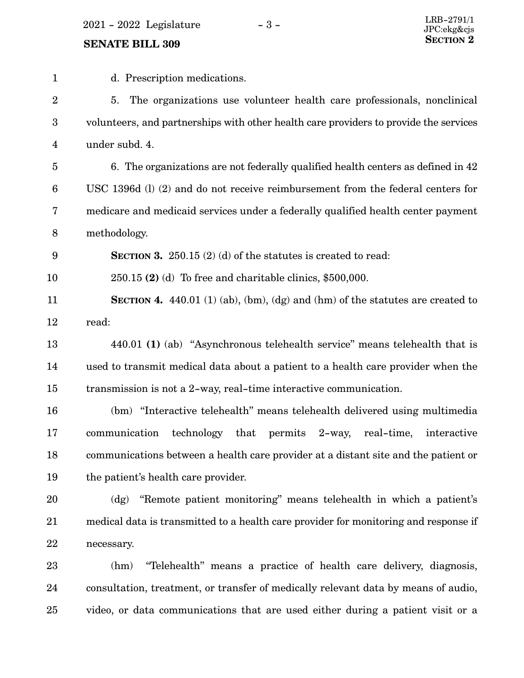$2021$  -  $2022$  Legislature -  $3$  -

## **SENATE BILL 309**

| $\mathbf{1}$     | d. Prescription medications.                                                          |
|------------------|---------------------------------------------------------------------------------------|
| $\boldsymbol{2}$ | 5.<br>The organizations use volunteer health care professionals, nonclinical          |
| 3                | volunteers, and partnerships with other health care providers to provide the services |
| 4                | under subd. 4.                                                                        |
| 5                | 6. The organizations are not federally qualified health centers as defined in 42      |
| 6                | USC 1396d (l) (2) and do not receive reimbursement from the federal centers for       |
| 7                | medicare and medicaid services under a federally qualified health center payment      |
| 8                | methodology.                                                                          |
| 9                | <b>SECTION 3.</b> 250.15 (2) (d) of the statures is created to read:                  |
| 10               | $250.15$ (2) (d) To free and charitable clinics, \$500,000.                           |
| 11               | SECTION 4. $440.01$ (1) (ab), (bm), (dg) and (hm) of the statutes are created to      |
| 12               | read:                                                                                 |
| 13               | 440.01 (1) (ab) "Asynchronous telehealth service" means telehealth that is            |
| 14               | used to transmit medical data about a patient to a health care provider when the      |
| 15               | transmission is not a 2-way, real-time interactive communication.                     |
| 16               | (bm) "Interactive telehealth" means telehealth delivered using multimedia             |
| 17               | technology<br>communication<br>that<br>permits 2-way,<br>real-time,<br>interactive    |
| 18               | communications between a health care provider at a distant site and the patient or    |
| 19               | the patient's health care provider.                                                   |
| 20               | "Remote patient monitoring" means telehealth in which a patient's<br>$\log$           |
| 21               | medical data is transmitted to a health care provider for monitoring and response if  |
| 22               | necessary.                                                                            |
| 23               | "Telehealth" means a practice of health care delivery, diagnosis,<br>(hm)             |
| 24               | consultation, treatment, or transfer of medically relevant data by means of audio,    |
| 25               | video, or data communications that are used either during a patient visit or a        |
|                  |                                                                                       |